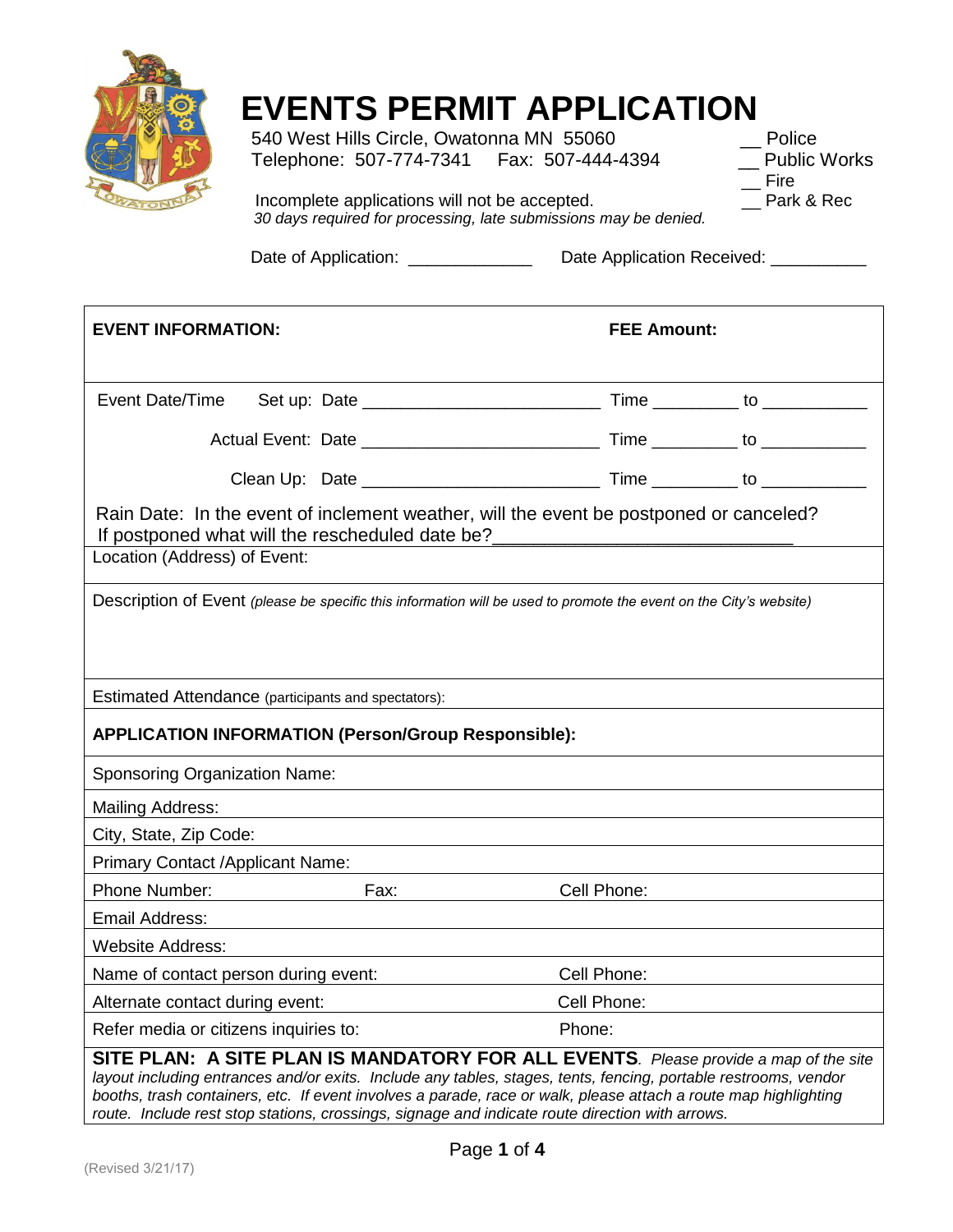

## **EVENTS PERMIT APPLICATION**<br>540 West Hills Circle, Owatonna MN 55060 Police

540 West Hills Circle, Owatonna MN 55060 Telephone: 507-774-7341 Fax: 507-444-4394 \_\_ Public Works

\_\_ Fire<br>\_\_ Park & Rec

Incomplete applications will not be accepted.  *30 days required for processing, late submissions may be denied.*

Date of Application: \_\_\_\_\_\_\_\_\_\_\_\_\_\_\_\_\_ Date Application Received: \_\_\_\_\_\_\_\_\_\_\_\_\_

| <b>EVENT INFORMATION:</b>                                  | <b>FEE Amount:</b>                                                                                                                                                                                                                                                                                                         |  |  |  |  |  |
|------------------------------------------------------------|----------------------------------------------------------------------------------------------------------------------------------------------------------------------------------------------------------------------------------------------------------------------------------------------------------------------------|--|--|--|--|--|
| Event Date/Time                                            |                                                                                                                                                                                                                                                                                                                            |  |  |  |  |  |
|                                                            |                                                                                                                                                                                                                                                                                                                            |  |  |  |  |  |
|                                                            |                                                                                                                                                                                                                                                                                                                            |  |  |  |  |  |
| If postponed what will the rescheduled date be?            | Rain Date: In the event of inclement weather, will the event be postponed or canceled?                                                                                                                                                                                                                                     |  |  |  |  |  |
| Location (Address) of Event:                               |                                                                                                                                                                                                                                                                                                                            |  |  |  |  |  |
|                                                            | Description of Event (please be specific this information will be used to promote the event on the City's website)                                                                                                                                                                                                         |  |  |  |  |  |
| Estimated Attendance (participants and spectators):        |                                                                                                                                                                                                                                                                                                                            |  |  |  |  |  |
| <b>APPLICATION INFORMATION (Person/Group Responsible):</b> |                                                                                                                                                                                                                                                                                                                            |  |  |  |  |  |
| <b>Sponsoring Organization Name:</b>                       |                                                                                                                                                                                                                                                                                                                            |  |  |  |  |  |
| <b>Mailing Address:</b>                                    |                                                                                                                                                                                                                                                                                                                            |  |  |  |  |  |
| City, State, Zip Code:                                     |                                                                                                                                                                                                                                                                                                                            |  |  |  |  |  |
| Primary Contact /Applicant Name:                           |                                                                                                                                                                                                                                                                                                                            |  |  |  |  |  |
| Phone Number:<br>Fax:                                      | Cell Phone:                                                                                                                                                                                                                                                                                                                |  |  |  |  |  |
| Email Address:                                             |                                                                                                                                                                                                                                                                                                                            |  |  |  |  |  |
| <b>Website Address:</b>                                    |                                                                                                                                                                                                                                                                                                                            |  |  |  |  |  |
| Name of contact person during event:                       | Cell Phone:                                                                                                                                                                                                                                                                                                                |  |  |  |  |  |
| Alternate contact during event:                            | Cell Phone:                                                                                                                                                                                                                                                                                                                |  |  |  |  |  |
| Refer media or citizens inquiries to:                      | Phone:                                                                                                                                                                                                                                                                                                                     |  |  |  |  |  |
|                                                            | SITE PLAN: A SITE PLAN IS MANDATORY FOR ALL EVENTS. Please provide a map of the site<br>layout including entrances and/or exits. Include any tables, stages, tents, fencing, portable restrooms, vendor<br>booths, trash containers, etc. If event involves a parade, race or walk, please attach a route map highlighting |  |  |  |  |  |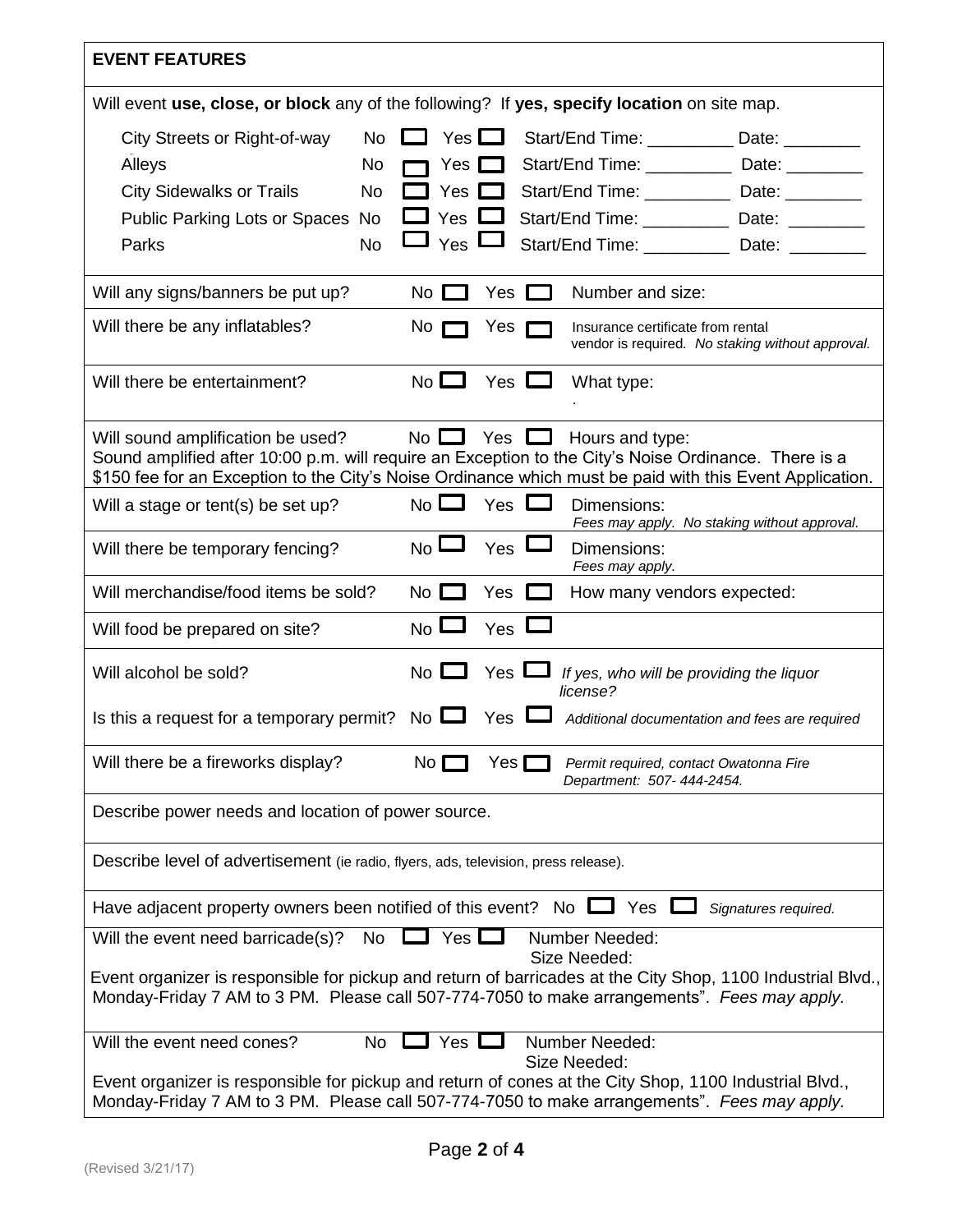| <b>EVENT FEATURES</b>                                                                                                                                                                                                                                 |                               |              |               |                                                                                       |  |  |  |  |
|-------------------------------------------------------------------------------------------------------------------------------------------------------------------------------------------------------------------------------------------------------|-------------------------------|--------------|---------------|---------------------------------------------------------------------------------------|--|--|--|--|
| Will event use, close, or block any of the following? If yes, specify location on site map.                                                                                                                                                           |                               |              |               |                                                                                       |  |  |  |  |
| City Streets or Right-of-way<br>No                                                                                                                                                                                                                    |                               | Yes $\Box$   |               | Start/End Time: ____________ Date: ________                                           |  |  |  |  |
| Alleys<br>No                                                                                                                                                                                                                                          |                               | $Yes$        |               | Start/End Time: _____________ Date: _________                                         |  |  |  |  |
| <b>City Sidewalks or Trails</b><br><b>No</b>                                                                                                                                                                                                          |                               | Yes <b>I</b> |               | Start/End Time: _____________ Date: _________                                         |  |  |  |  |
| Public Parking Lots or Spaces No                                                                                                                                                                                                                      | Yes I                         |              |               | Start/End Time: _____________ Date: _________                                         |  |  |  |  |
| <b>No</b><br>Parks                                                                                                                                                                                                                                    | $\Box$ $_{\text{Yes}}$ $\Box$ |              |               | Start/End Time: ____________ Date: _________                                          |  |  |  |  |
| Will any signs/banners be put up?                                                                                                                                                                                                                     | No $\Box$                     |              | Yes $\Box$    | Number and size:                                                                      |  |  |  |  |
| Will there be any inflatables?                                                                                                                                                                                                                        | No r                          | Yes          |               | Insurance certificate from rental<br>vendor is required. No staking without approval. |  |  |  |  |
| Will there be entertainment?                                                                                                                                                                                                                          | $No$ $\Box$                   |              | Yes $\Box$    | What type:                                                                            |  |  |  |  |
| Will sound amplification be used?<br>Sound amplified after 10:00 p.m. will require an Exception to the City's Noise Ordinance. There is a<br>\$150 fee for an Exception to the City's Noise Ordinance which must be paid with this Event Application. |                               |              |               | No $\Box$ Yes $\Box$ Hours and type:                                                  |  |  |  |  |
| Will a stage or tent(s) be set up?                                                                                                                                                                                                                    | $No$ $\Box$                   | Yes $\Box$   |               | Dimensions:<br>Fees may apply. No staking without approval.                           |  |  |  |  |
| Will there be temporary fencing?                                                                                                                                                                                                                      | N <sub>0</sub>                |              | $Yes$ $\Box$  | Dimensions:<br>Fees may apply.                                                        |  |  |  |  |
| Will merchandise/food items be sold?                                                                                                                                                                                                                  | $No$ $\Box$                   |              | Yes $\Box$    | How many vendors expected:                                                            |  |  |  |  |
| Will food be prepared on site?                                                                                                                                                                                                                        | $No$ $\Box$                   | $Yes$ $\Box$ |               |                                                                                       |  |  |  |  |
| Will alcohol be sold?                                                                                                                                                                                                                                 | $No$ $\Box$                   | Yes L        |               | If yes, who will be providing the liquor<br>license?                                  |  |  |  |  |
| Is this a request for a temporary permit? No $\Box$                                                                                                                                                                                                   |                               | Yes          |               | Additional documentation and fees are required                                        |  |  |  |  |
| Will there be a fireworks display?                                                                                                                                                                                                                    | No $\square$                  |              | Yes $\square$ | Permit required, contact Owatonna Fire<br>Department: 507-444-2454.                   |  |  |  |  |
| Describe power needs and location of power source.                                                                                                                                                                                                    |                               |              |               |                                                                                       |  |  |  |  |
| Describe level of advertisement (ie radio, flyers, ads, television, press release).                                                                                                                                                                   |                               |              |               |                                                                                       |  |  |  |  |
| Have adjacent property owners been notified of this event? No<br>Yes<br>Signatures required.                                                                                                                                                          |                               |              |               |                                                                                       |  |  |  |  |
| <b>Number Needed:</b><br>Yes<br>Will the event need barricade(s)?<br>No<br>Size Needed:                                                                                                                                                               |                               |              |               |                                                                                       |  |  |  |  |
| Event organizer is responsible for pickup and return of barricades at the City Shop, 1100 Industrial Blvd.,<br>Monday-Friday 7 AM to 3 PM. Please call 507-774-7050 to make arrangements". Fees may apply.                                            |                               |              |               |                                                                                       |  |  |  |  |
| <b>No</b><br>Will the event need cones?                                                                                                                                                                                                               |                               | Yes $\Box$   |               | <b>Number Needed:</b><br>Size Needed:                                                 |  |  |  |  |
| Event organizer is responsible for pickup and return of cones at the City Shop, 1100 Industrial Blvd.,<br>Monday-Friday 7 AM to 3 PM. Please call 507-774-7050 to make arrangements". Fees may apply.                                                 |                               |              |               |                                                                                       |  |  |  |  |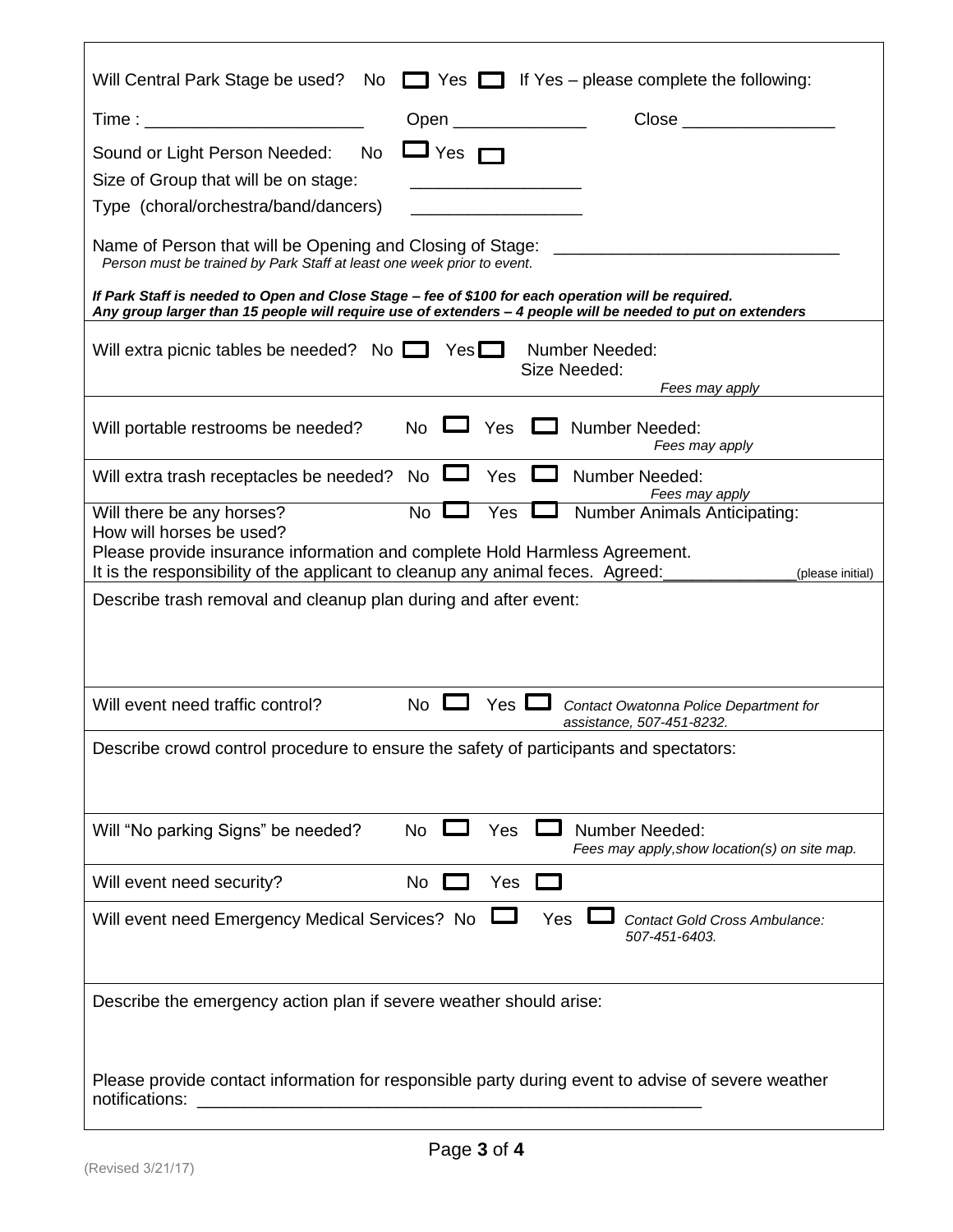| Will Central Park Stage be used? No $\Box$ Yes $\Box$ If Yes – please complete the following:                                                                                                                                                                                                     |  |  |  |  |  |  |
|---------------------------------------------------------------------------------------------------------------------------------------------------------------------------------------------------------------------------------------------------------------------------------------------------|--|--|--|--|--|--|
| Time : _____________________________<br>Open _______________                                                                                                                                                                                                                                      |  |  |  |  |  |  |
| No $\Box$ Yes $\Box$<br>Sound or Light Person Needed:                                                                                                                                                                                                                                             |  |  |  |  |  |  |
| Size of Group that will be on stage:<br><u> 1989 - Johann John Stone, mars eta bat eta bat eta bat eta bat eta bat eta bat eta bat eta bat eta bat eta b</u>                                                                                                                                      |  |  |  |  |  |  |
| Type (choral/orchestra/band/dancers)                                                                                                                                                                                                                                                              |  |  |  |  |  |  |
| Name of Person that will be Opening and Closing of Stage:<br>Person must be trained by Park Staff at least one week prior to event.                                                                                                                                                               |  |  |  |  |  |  |
| If Park Staff is needed to Open and Close Stage - fee of \$100 for each operation will be required.<br>Any group larger than 15 people will require use of extenders - 4 people will be needed to put on extenders                                                                                |  |  |  |  |  |  |
| Will extra picnic tables be needed? No $\Box$ Yes $\Box$ Number Needed:<br>Size Needed:<br>Fees may apply                                                                                                                                                                                         |  |  |  |  |  |  |
| No $\Box$ Yes $\Box$ Number Needed:<br>Will portable restrooms be needed?<br>Fees may apply                                                                                                                                                                                                       |  |  |  |  |  |  |
| No $\square$<br><b>Number Needed:</b><br>Yes $\Box$<br>Will extra trash receptacles be needed?<br>Fees may apply                                                                                                                                                                                  |  |  |  |  |  |  |
| Yes I<br>No L<br><b>Number Animals Anticipating:</b><br>Will there be any horses?<br>How will horses be used?<br>Please provide insurance information and complete Hold Harmless Agreement.<br>It is the responsibility of the applicant to cleanup any animal feces. Agreed:<br>(please initial) |  |  |  |  |  |  |
| Describe trash removal and cleanup plan during and after event:                                                                                                                                                                                                                                   |  |  |  |  |  |  |
| No $\Box$ Yes $\Box$<br>Will event need traffic control?<br>Contact Owatonna Police Department for<br>assistance, 507-451-8232.                                                                                                                                                                   |  |  |  |  |  |  |
| Describe crowd control procedure to ensure the safety of participants and spectators:                                                                                                                                                                                                             |  |  |  |  |  |  |
| Will "No parking Signs" be needed?<br><b>No</b><br>Yes<br>Number Needed:<br>Fees may apply, show location(s) on site map.                                                                                                                                                                         |  |  |  |  |  |  |
| Will event need security?<br>No<br>Yes                                                                                                                                                                                                                                                            |  |  |  |  |  |  |
| Will event need Emergency Medical Services? No<br>Yes<br><b>Contact Gold Cross Ambulance:</b><br>507-451-6403.                                                                                                                                                                                    |  |  |  |  |  |  |
| Describe the emergency action plan if severe weather should arise:                                                                                                                                                                                                                                |  |  |  |  |  |  |
| Please provide contact information for responsible party during event to advise of severe weather<br>notifications:                                                                                                                                                                               |  |  |  |  |  |  |